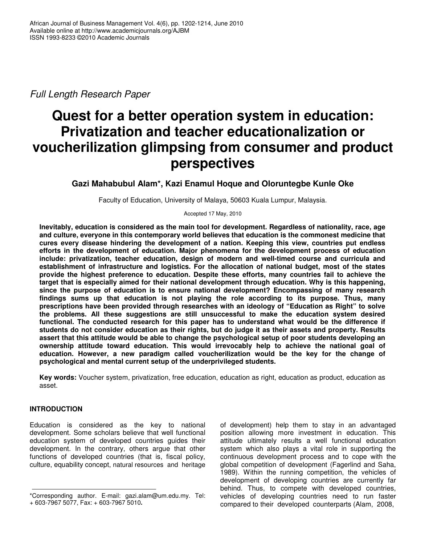*Full Length Research Paper*

# **Quest for a better operation system in education: Privatization and teacher educationalization or voucherilization glimpsing from consumer and product perspectives**

**Gazi Mahabubul Alam\*, Kazi Enamul Hoque and Oloruntegbe Kunle Oke**

Faculty of Education, University of Malaya, 50603 Kuala Lumpur, Malaysia.

Accepted 17 May, 2010

**Inevitably, education is considered as the main tool for development. Regardless of nationality, race, age and culture, everyone in this contemporary world believes that education is the commonest medicine that cures every disease hindering the development of a nation. Keeping this view, countries put endless efforts in the development of education. Major phenomena for the development process of education include: privatization, teacher education, design of modern and well-timed course and curricula and establishment of infrastructure and logistics. For the allocation of national budget, most of the states provide the highest preference to education. Despite these efforts, many countries fail to achieve the target that is especially aimed for their national development through education. Why is this happening, since the purpose of education is to ensure national development? Encompassing of many research findings sums up that education is not playing the role according to its purpose. Thus, many prescriptions have been provided through researches with an ideology of "Education as Right" to solve the problems. All these suggestions are still unsuccessful to make the education system desired functional. The conducted research for this paper has to understand what would be the difference if** students do not consider education as their rights, but do judge it as their assets and property. Results **assert that this attitude would be able to change the psychological setup of poor students developing an ownership attitude toward education. This would irrevocably help to achieve the national goal of education. However, a new paradigm called voucherilization would be the key for the change of psychological and mental current setup of the underprivileged students.**

**Key words:** Voucher system, privatization, free education, education as right, education as product, education as asset.

## **INTRODUCTION**

Education is considered as the key to national development. Some scholars believe that well functional education system of developed countries guides their development. In the contrary, others argue that other functions of developed countries (that is, fiscal policy, culture, equability concept, natural resources and heritage

of development) help them to stay in an advantaged position allowing more investment in education. This attitude ultimately results a well functional education system which also plays a vital role in supporting the continuous development process and to cope with the global competition of development (Fagerlind and Saha, 1989). Within the running competition, the vehicles of development of developing countries are currently far behind. Thus, to compete with developed countries, vehicles of developing countries need to run faster compared to their developed counterparts (Alam, 2008,

<sup>\*</sup>Corresponding author. E-mail: gazi.alam@um.edu.my. Tel: + 603-7967 5077, Fax: + 603-7967 5010**.**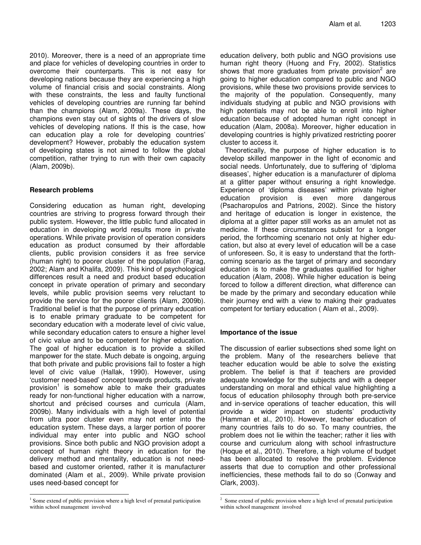2010). Moreover, there is a need of an appropriate time and place for vehicles of developing countries in order to overcome their counterparts. This is not easy for developing nations because they are experiencing a high volume of financial crisis and social constraints. Along with these constraints, the less and faulty functional vehicles of developing countries are running far behind than the champions (Alam, 2009a). These days, the champions even stay out of sights of the drivers of slow vehicles of developing nations. If this is the case, how can education play a role for developing countries' development? However, probably the education system of developing states is not aimed to follow the global competition, rather trying to run with their own capacity (Alam, 2009b).

## **Research problems**

Considering education as human right, developing countries are striving to progress forward through their public system. However, the little public fund allocated in education in developing world results more in private operations. While private provision of operation considers education as product consumed by their affordable clients, public provision considers it as free service (human right) to poorer cluster of the population (Farag, 2002; Alam and Khalifa, 2009). This kind of psychological differences result a need and product based education concept in private operation of primary and secondary levels, while public provision seems very reluctant to provide the service for the poorer clients (Alam, 2009b). Traditional belief is that the purpose of primary education is to enable primary graduate to be competent for secondary education with a moderate level of civic value, while secondary education caters to ensure a higher level of civic value and to be competent for higher education. The goal of higher education is to provide a skilled manpower for the state. Much debate is ongoing, arguing that both private and public provisions fail to foster a high level of civic value (Hallak, 1990). However, using 'customer need-based' concept towards products, private provision<sup>1</sup> is somehow able to make their graduates ready for non-functional higher education with a narrow, shortcut and précised courses and curricula (Alam, 2009b). Many individuals with a high level of potential from ultra poor cluster even may not enter into the education system. These days, a larger portion of poorer individual may enter into public and NGO school provisions. Since both public and NGO provision adopt a concept of human right theory in education for the delivery method and mentality, education is not needbased and customer oriented, rather it is manufacturer dominated (Alam et al., 2009). While private provision uses need-based concept for

education delivery, both public and NGO provisions use human right theory (Huong and Fry, 2002). Statistics shows that more graduates from private provision<sup>2</sup> are going to higher education compared to public and NGO provisions, while these two provisions provide services to the majority of the population. Consequently, many individuals studying at public and NGO provisions with high potentials may not be able to enroll into higher education because of adopted human right concept in education (Alam, 2008a). Moreover, higher education in developing countries is highly privatized restricting poorer cluster to access it.

Theoretically, the purpose of higher education is to develop skilled manpower in the light of economic and social needs. Unfortunately, due to suffering of 'diploma diseases', higher education is a manufacturer of diploma at a glitter paper without ensuring a right knowledge. Experience of 'diploma diseases' within private higher education provision is even more dangerous (Psacharopulos and Patrions, 2002). Since the history and heritage of education is longer in existence, the diploma at a glitter paper still works as an amulet not as medicine. If these circumstances subsist for a longer period, the forthcoming scenario not only at higher education, but also at every level of education will be a case of unforeseen. So, it is easy to understand that the forthcoming scenario as the target of primary and secondary education is to make the graduates qualified for higher education (Alam, 2008). While higher education is being forced to follow a different direction, what difference can be made by the primary and secondary education while their journey end with a view to making their graduates competent for tertiary education ( Alam et al., 2009).

## **Importance of the issue**

The discussion of earlier subsections shed some light on the problem. Many of the researchers believe that teacher education would be able to solve the existing problem. The belief is that if teachers are provided adequate knowledge for the subjects and with a deeper understanding on moral and ethical value highlighting a focus of education philosophy through both pre-service and in-service operations of teacher education, this will provide a wider impact on students' productivity (Hamman et al., 2010). However, teacher education of many countries fails to do so. To many countries, the problem does not lie within the teacher; rather it lies with course and curriculum along with school infrastructure (Hoque et al., 2010). Therefore, a high volume of budget has been allocated to resolve the problem. Evidence asserts that due to corruption and other professional inefficiencies, these methods fail to do so (Conway and Clark, 2003).

<sup>&</sup>lt;sup>1</sup> Some extend of public provision where a high level of prenatal participation within school management involved

<sup>&</sup>lt;sup>2</sup> Some extend of public provision where a high level of prenatal participation within school management involved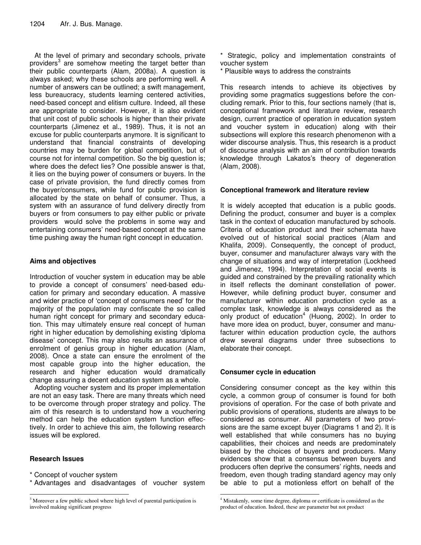At the level of primary and secondary schools, private providers<sup>3</sup> are somehow meeting the target better than their public counterparts (Alam, 2008a). A question is always asked; why these schools are performing well. A number of answers can be outlined; a swift management, less bureaucracy, students learning centered activities, need-based concept and elitism culture. Indeed, all these are appropriate to consider. However, it is also evident that unit cost of public schools is higher than their private counterparts (Jimenez et al., 1989). Thus, it is not an excuse for public counterparts anymore. It is significant to understand that financial constraints of developing countries may be burden for global competition, but of course not for internal competition. So the big question is; where does the defect lies? One possible answer is that, it lies on the buying power of consumers or buyers. In the case of private provision, the fund directly comes from the buyer/consumers, while fund for public provision is allocated by the state on behalf of consumer. Thus, a system with an assurance of fund delivery directly from buyers or from consumers to pay either public or private providers would solve the problems in some way and entertaining consumers' need-based concept at the same time pushing away the human right concept in education.

## **Aims and objectives**

Introduction of voucher system in education may be able to provide a concept of consumers' need-based education for primary and secondary education. A massive and wider practice of 'concept of consumers need' for the majority of the population may confiscate the so called human right concept for primary and secondary education. This may ultimately ensure real concept of human right in higher education by demolishing existing 'diploma disease' concept. This may also results an assurance of enrolment of genius group in higher education (Alam, 2008). Once a state can ensure the enrolment of the most capable group into the higher education, the research and higher education would dramatically change assuring a decent education system as a whole.

Adopting voucher system and its proper implementation are not an easy task. There are many threats which need to be overcome through proper strategy and policy. The aim of this research is to understand how a vouchering method can help the education system function effectively. In order to achieve this aim, the following research issues will be explored.

## **Research Issues**

\* Concept of voucher system

\* Advantages and disadvantages of voucher system

- \* Strategic, policy and implementation constraints of voucher system
- \* Plausible ways to address the constraints

This research intends to achieve its objectives by providing some pragmatics suggestions before the concluding remark. Prior to this, four sections namely (that is, conceptional framework and literature review, research design, current practice of operation in education system and voucher system in education) along with their subsections will explore this research phenomenon with a wider discourse analysis. Thus, this research is a product of discourse analysis with an aim of contribution towards knowledge through Lakatos's theory of degeneration (Alam, 2008).

# **Conceptional framework and literature review**

It is widely accepted that education is a public goods. Defining the product, consumer and buyer is a complex task in the context of education manufactured by schools. Criteria of education product and their schemata have evolved out of historical social practices (Alam and Khalifa, 2009). Consequently, the concept of product, buyer, consumer and manufacturer always vary with the change of situations and way of interpretation (Lockheed and Jimenez, 1994). Interpretation of social events is guided and constrained by the prevailing rationality which in itself reflects the dominant constellation of power. However, while defining product buyer, consumer and manufacturer within education production cycle as a complex task, knowledge is always considered as the only product of education 4 (Huong, 2002). In order to have more idea on product, buyer, consumer and manufacturer within education production cycle, the authors drew several diagrams under three subsections to elaborate their concept.

## **Consumer cycle in education**

Considering consumer concept as the key within this cycle, a common group of consumer is found for both provisions of operation. For the case of both private and public provisions of operations, students are always to be considered as consumer. All parameters of two provisions are the same except buyer (Diagrams 1 and 2). It is well established that while consumers has no buying capabilities, their choices and needs are predominately biased by the choices of buyers and producers. Many evidences show that a consensus between buyers and producers often deprive the consumers' rights, needs and freedom, even though trading standard agency may only be able to put a motionless effort on behalf of the

<sup>&</sup>lt;sup>3</sup> Moreover a few public school where high level of parental participation is involved making significant progress

<sup>4</sup> Mistakenly, some time degree, diploma or certificate is considered as the product of education. Indeed, these are parameter but not product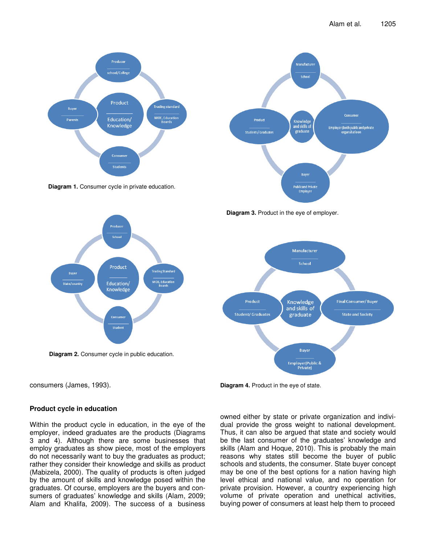

**Diagram 1.** Consumer cycle in private education.









consumers (James, 1993).

#### **Product cycle in education**

Within the product cycle in education, in the eye of the employer, indeed graduates are the products (Diagrams 3 and 4). Although there are some businesses that employ graduates as show piece, most of the employers do not necessarily want to buy the graduates as product; rather they consider their knowledge and skills as product (Mabizela, 2000). The quality of products is often judged by the amount of skills and knowledge posed within the graduates. Of course, employers are the buyers and consumers of graduates' knowledge and skills (Alam, 2009; Alam and Khalifa, 2009). The success of a business

**Diagram 4.** Product in the eye of state.

owned either by state or private organization and individual provide the gross weight to national development. Thus, it can also be argued that state and society would be the last consumer of the graduates' knowledge and skills (Alam and Hoque, 2010). This is probably the main reasons why states still become the buyer of public schools and students, the consumer. State buyer concept may be one of the best options for a nation having high level ethical and national value, and no operation for private provision. However, a country experiencing high volume of private operation and unethical activities, buying power of consumers at least help them to proceed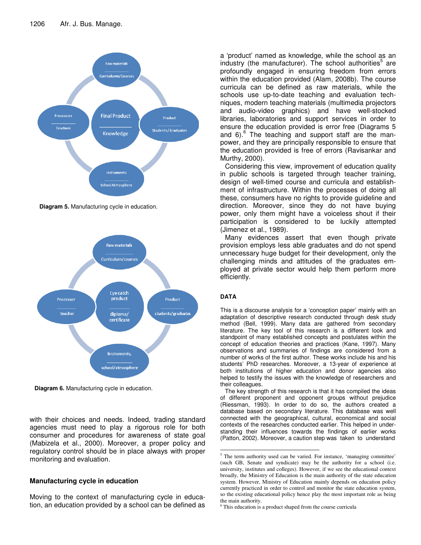

**Diagram 5.** Manufacturing cycle in education.



**Diagram 6.** Manufacturing cycle in education.

with their choices and needs. Indeed, trading standard agencies must need to play a rigorous role for both consumer and procedures for awareness of state goal (Mabizela et al., 2000). Moreover, a proper policy and regulatory control should be in place always with proper monitoring and evaluation.

# **Manufacturing cycle in education**

Moving to the context of manufacturing cycle in education, an education provided by a school can be defined as

a 'product' named as knowledge, while the school as an industry (the manufacturer). The school authorities<sup>5</sup> are profoundly engaged in ensuring freedom from errors within the education provided (Alam, 2008b). The course curricula can be defined as raw materials, while the schools use up-to-date teaching and evaluation techniques, modern teaching materials (multimedia projectors and audio-video graphics) and have well-stocked libraries, laboratories and support services in order to ensure the education provided is error free (Diagrams 5 and 6).<sup>6</sup> The teaching and support staff are the manpower, and they are principally responsible to ensure that the education provided is free of errors (Ravisankar and Murthy, 2000).

Considering this view, improvement of education quality in public schools is targeted through teacher training, design of well-timed course and curricula and establishment of infrastructure. Within the processes of doing all these, consumers have no rights to provide guideline and direction. Moreover, since they do not have buying power, only them might have a voiceless shout if their participation is considered to be luckily attempted (Jimenez et al., 1989).

Many evidences assert that even though private provision employs less able graduates and do not spend unnecessary huge budget for their development, only the challenging minds and attitudes of the graduates employed at private sector would help them perform more efficiently.

#### **DATA**

This is a discourse analysis for a 'conception paper' mainly with an adaptation of descriptive research conducted through desk study method (Bell, 1999). Many data are gathered from secondary literature. The key tool of this research is a different look and standpoint of many established concepts and postulates within the concept of education theories and practices (Kane, 1997). Many observations and summaries of findings are considered from a number of works of the first author. These works include his and his students' PhD researches. Moreover, a 13-year of experience at both institutions of higher education and donor agencies also helped to testify the issues with the knowledge of researchers and their colleagues.

The key strength of this research is that it has compiled the ideas of different proponent and opponent groups without prejudice (Riessman, 1993). In order to do so, the authors created a database based on secondary literature. This database was well connected with the geographical, cultural, economical and social contexts of the researches conducted earlier. This helped in understanding their influences towards the findings of earlier works (Patton, 2002). Moreover, a caution step was taken to understand

<u> 1989 - Johann Barn, mars ann an t-Aonaich an t-Aonaich ann an t-Aonaich ann an t-Aonaich ann an t-Aonaich an </u>

<sup>&</sup>lt;sup>5</sup> The term authority used can be varied. For instance, 'managing committee' (such GB, Senate and syndicate) may be the authority for a school (i.e. university, institutes and colleges). However, if we see the educational context broadly, the Ministry of Education is the main authority of the state education system. However, Ministry of Education mainly depends on education policy currently practiced in order to control and monitor the state education system, so the existing educational policy hence play the most important role as being the main authority.

<sup>&</sup>lt;sup>6</sup> This education is a product shaped from the course curricula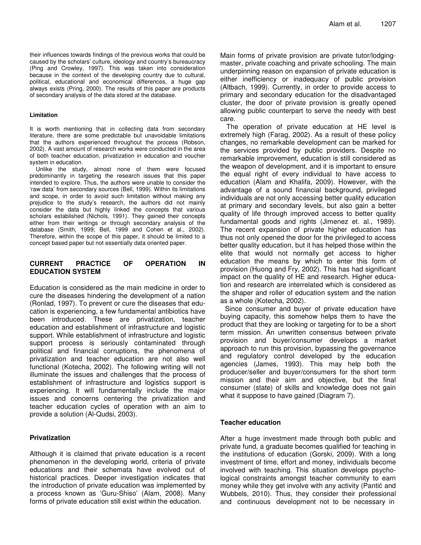their influences towards findings of the previous works that could be caused by the scholars' culture, ideology and country's bureaucracy (Ping and Crowley, 1997). This was taken into consideration because in the context of the developing country due to cultural, political, educational and economical differences, a huge gap always exists (Pring, 2000). The results of this paper are products of secondary analysis of the data stored at the database.

#### **Limitation**

It is worth mentioning that in collecting data from secondary literature, there are some predictable but unavoidable limitations that the authors experienced throughout the process (Robson, 2002). A vast amount of research works were conducted in the area of both teacher education, privatization in education and voucher system in education.

Unlike the study, almost none of them were focused predominantly in targeting the research issues that this paper intended to explore. Thus, the authors were unable to consider the 'raw data' from secondary sources (Bell, 1999). Within its limitations and scope, in order to avoid such limitation without making any prejudice to the study's research, the authors did not mainly consider the data but highly linked the concepts that various scholars established (Nichols, 1991). They gained their concepts either from their writings or through secondary analysis of the database (Smith, 1999; Bell, 1999 and Cohen et al., 2002). Therefore, within the scope of this paper, it should be limited to a concept based paper but not essentially data oriented paper.

#### **CURRENT PRACTICE OF OPERATION IN EDUCATION SYSTEM**

Education is considered as the main medicine in order to cure the diseases hindering the development of a nation (Ronlad, 1997). To prevent or cure the diseases that education is experiencing, a few fundamental antibiotics have been introduced. These are privatization, teacher education and establishment of infrastructure and logistic support. While establishment of infrastructure and logistic support process is seriously contaminated through political and financial corruptions, the phenomena of privatization and teacher education are not also well functional (Kotecha, 2002). The following writing will not illuminate the issues and challenges that the process of establishment of infrastructure and logistics support is experiencing. It will fundamentally include the major issues and concerns centering the privatization and teacher education cycles of operation with an aim to provide a solution (Al-Qudsi, 2003).

#### **Privatization**

Although it is claimed that private education is a recent phenomenon in the developing world, criteria of private educations and their schemata have evolved out of historical practices. Deeper investigation indicates that the introduction of private education was implemented by a process known as 'Guru-Shiso' (Alam, 2008). Many forms of private education still exist within the education.

Main forms of private provision are private tutor/lodgingmaster, private coaching and private schooling. The main underpinning reason on expansion of private education is either inefficiency or inadequacy of public provision (Altbach, 1999). Currently, in order to provide access to primary and secondary education for the disadvantaged cluster, the door of private provision is greatly opened allowing public counterpart to serve the needy with best care.

The operation of private education at HE level is extremely high (Farag, 2002). As a result of these policy changes, no remarkable development can be marked for the services provided by public providers. Despite no remarkable improvement, education is still considered as the weapon of development, and it is important to ensure the equal right of every individual to have access to education (Alam and Khalifa, 2009). However, with the advantage of a sound financial background, privileged individuals are not only accessing better quality education at primary and secondary levels, but also gain a better quality of life through improved access to better quality fundamental goods and rights (Jimenez et. al., 1989). The recent expansion of private higher education has thus not only opened the door for the privileged to access better quality education, but it has helped those within the elite that would not normally get access to higher education the means by which to enter this form of provision (Huong and Fry, 2002). This has had significant impact on the quality of HE and research. Higher education and research are interrelated which is considered as the shaper and roller of education system and the nation as a whole (Kotecha, 2002).

Since consumer and buyer of private education have buying capacity, this somehow helps them to have the product that they are looking or targeting for to be a short term mission. An unwritten consensus between private provision and buyer/consumer develops a market approach to run this provision, bypassing the governance and regulatory control developed by the education agencies (James, 1993). This may help both the producer/seller and buyer/consumers for the short term mission and their aim and objective, but the final consumer (state) of skills and knowledge does not gain what it suppose to have gained (Diagram 7).

#### **Teacher education**

After a huge investment made through both public and private fund, a graduate becomes qualified for teaching in the institutions of education (Gorski, 2009). With a long investment of time, effort and money, individuals become involved with teaching. This situation develops psychological constraints amongst teacher community to earn money while they get involve with any activity (Pantić and Wubbels, 2010). Thus, they consider their professional and continuous development not to be necessary in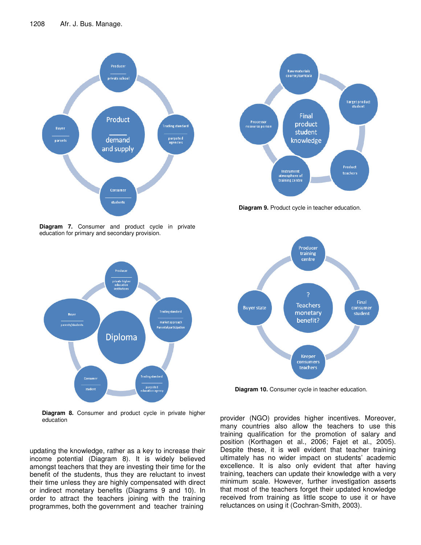

**Diagram 7.** Consumer and product cycle in private education for primary and secondary provision.



**Diagram 8.** Consumer and product cycle in private higher education

updating the knowledge, rather as a key to increase their income potential (Diagram 8). It is widely believed amongst teachers that they are investing their time for the benefit of the students, thus they are reluctant to invest their time unless they are highly compensated with direct or indirect monetary benefits (Diagrams 9 and 10). In order to attract the teachers joining with the training programmes, both the government and teacher training



**Diagram 9.** Product cycle in teacher education.



**Diagram 10.** Consumer cycle in teacher education.

provider (NGO) provides higher incentives. Moreover, many countries also allow the teachers to use this training qualification for the promotion of salary and position (Korthagen et al., 2006; Fajet et al., 2005). Despite these, it is well evident that teacher training ultimately has no wider impact on students' academic excellence. It is also only evident that after having training, teachers can update their knowledge with a very minimum scale. However, further investigation asserts that most of the teachers forget their updated knowledge received from training as little scope to use it or have reluctances on using it (Cochran-Smith, 2003).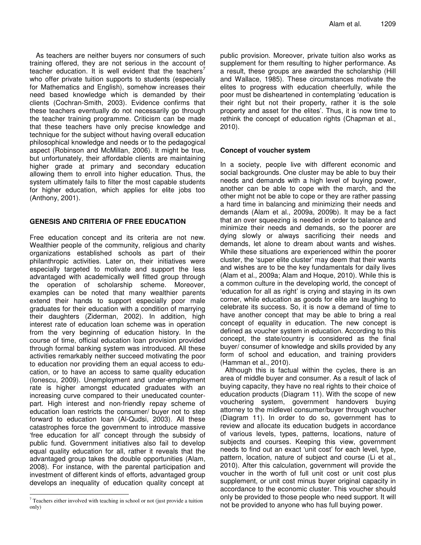As teachers are neither buyers nor consumers of such training offered, they are not serious in the account of teacher education. It is well evident that the teachers<sup>7</sup> who offer private tuition supports to students (especially for Mathematics and English), somehow increases their need based knowledge which is demanded by their clients (Cochran-Smith, 2003). Evidence confirms that these teachers eventually do not necessarily go through the teacher training programme. Criticism can be made that these teachers have only precise knowledge and technique for the subject without having overall education philosophical knowledge and needs or to the pedagogical aspect (Robinson and McMillan, 2006). It might be true, but unfortunately, their affordable clients are maintaining higher grade at primary and secondary education allowing them to enroll into higher education. Thus, the system ultimately fails to filter the most capable students for higher education, which applies for elite jobs too (Anthony, 2001).

## **GENESIS AND CRITERIA OF FREE EDUCATION**

Free education concept and its criteria are not new. Wealthier people of the community, religious and charity organizations established schools as part of their philanthropic activities. Later on, their initiatives were especially targeted to motivate and support the less advantaged with academically well fitted group through the operation of scholarship scheme. Moreover, examples can be noted that many wealthier parents extend their hands to support especially poor male graduates for their education with a condition of marrying their daughters (Ziderman, 2002). In addition, high interest rate of education loan scheme was in operation from the very beginning of education history. In the course of time, official education loan provision provided through formal banking system was introduced. All these activities remarkably neither succeed motivating the poor to education nor providing them an equal access to education, or to have an access to same quality education (Ionescu, 2009). Unemployment and under-employment rate is higher amongst educated graduates with an increasing curve compared to their uneducated counterpart. High interest and non-friendly repay scheme of education loan restricts the consumer/ buyer not to step forward to education loan (Al-Qudsi, 2003). All these catastrophes force the government to introduce massive 'free education for all' concept through the subsidy of public fund. Government initiatives also fail to develop equal quality education for all, rather it reveals that the advantaged group takes the double opportunities (Alam, 2008). For instance, with the parental participation and investment of different kinds of efforts, advantaged group develops an inequality of education quality concept at

public provision. Moreover, private tuition also works as supplement for them resulting to higher performance. As a result, these groups are awarded the scholarship (Hill and Wallace, 1985). These circumstances motivate the elites to progress with education cheerfully, while the poor must be disheartened in contemplating 'education is their right but not their property, rather it is the sole property and asset for the elites'. Thus, it is now time to rethink the concept of education rights (Chapman et al., 2010).

## **Concept of voucher system**

In a society, people live with different economic and social backgrounds. One cluster may be able to buy their needs and demands with a high level of buying power, another can be able to cope with the march, and the other might not be able to cope or they are rather passing a hard time in balancing and minimizing their needs and demands (Alam et al., 2009a, 2009b). It may be a fact that an over squeezing is needed in order to balance and minimize their needs and demands, so the poorer are dying slowly or always sacrificing their needs and demands, let alone to dream about wants and wishes. While these situations are experienced within the poorer cluster, the 'super elite cluster' may deem that their wants and wishes are to be the key fundamentals for daily lives (Alam et al., 2009a; Alam and Hoque, 2010). While this is a common culture in the developing world, the concept of 'education for all as right' is crying and staying in its own corner, while education as goods for elite are laughing to celebrate its success. So, it is now a demand of time to have another concept that may be able to bring a real concept of equality in education. The new concept is defined as voucher system in education. According to this concept, the state/country is considered as the final buyer/ consumer of knowledge and skills provided by any form of school and education, and training providers (Hamman et al., 2010).

Although this is factual within the cycles, there is an area of middle buyer and consumer. As a result of lack of buying capacity, they have no real rights to their choice of education products (Diagram 11). With the scope of new vouchering system, government handovers buying attorney to the midlevel consumer/buyer through voucher (Diagram 11). In order to do so, government has to review and allocate its education budgets in accordance of various levels, types, patterns, locations, nature of subjects and courses. Keeping this view, government needs to find out an exact 'unit cost' for each level, type, pattern, location, nature of subject and course (Li et al., 2010). After this calculation, government will provide the voucher in the worth of full unit cost or unit cost plus supplement, or unit cost minus buyer original capacity in accordance to the economic cluster. This voucher should only be provided to those people who need support. It will not be provided to anyone who has full buying power.

 $7$  Teachers either involved with teaching in school or not (just provide a tuition only)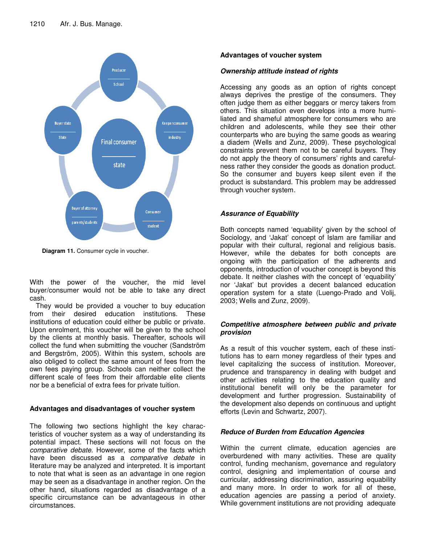

**Diagram 11.** Consumer cycle in voucher.

With the power of the voucher, the mid level buyer/consumer would not be able to take any direct cash.

They would be provided a voucher to buy education from their desired education institutions. These institutions of education could either be public or private. Upon enrolment, this voucher will be given to the school by the clients at monthly basis. Thereafter, schools will collect the fund when submitting the voucher (Sandström and Bergström, 2005). Within this system, schools are also obliged to collect the same amount of fees from the own fees paying group. Schools can neither collect the different scale of fees from their affordable elite clients nor be a beneficial of extra fees for private tuition.

## **Advantages and disadvantages of voucher system**

The following two sections highlight the key characteristics of voucher system as a way of understanding its potential impact. These sections will not focus on the *comparative debate*. However, some of the facts which have been discussed as a *comparative debate* in literature may be analyzed and interpreted. It is important to note that what is seen as an advantage in one region may be seen as a disadvantage in another region. On the other hand, situations regarded as disadvantage of a specific circumstance can be advantageous in other circumstances.

## **Advantages of voucher system**

## *Ownership attitude instead of rights*

Accessing any goods as an option of rights concept always deprives the prestige of the consumers. They often judge them as either beggars or mercy takers from others. This situation even develops into a more humiliated and shameful atmosphere for consumers who are children and adolescents, while they see their other counterparts who are buying the same goods as wearing a diadem (Wells and Zunz, 2009). These psychological constraints prevent them not to be careful buyers. They do not apply the theory of consumers' rights and carefulness rather they consider the goods as donation product. So the consumer and buyers keep silent even if the product is substandard. This problem may be addressed through voucher system.

## *Assurance of Equability*

Both concepts named 'equability' given by the school of Sociology, and 'Jakat' concept of Islam are familiar and popular with their cultural, regional and religious basis. However, while the debates for both concepts are ongoing with the participation of the adherents and opponents, introduction of voucher concept is beyond this debate. It neither clashes with the concept of 'equability' nor 'Jakat' but provides a decent balanced education operation system for a state (Luengo-Prado and Volij, 2003; Wells and Zunz, 2009).

## *Competitive atmosphere between public and private provision*

As a result of this voucher system, each of these institutions has to earn money regardless of their types and level capitalizing the success of institution. Moreover, prudence and transparency in dealing with budget and other activities relating to the education quality and institutional benefit will only be the parameter for development and further progression. Sustainability of the development also depends on continuous and uptight efforts (Levin and Schwartz, 2007).

## *Reduce of Burden from Education Agencies*

Within the current climate, education agencies are overburdened with many activities. These are quality control, funding mechanism, governance and regulatory control, designing and implementation of course and curricular, addressing discrimination, assuring equability and many more. In order to work for all of these, education agencies are passing a period of anxiety. While government institutions are not providing adequate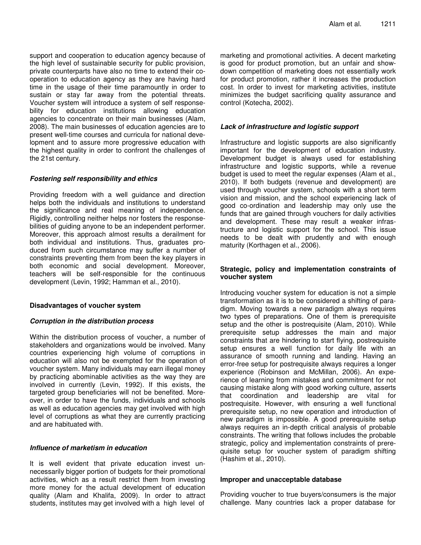support and cooperation to education agency because of the high level of sustainable security for public provision, private counterparts have also no time to extend their cooperation to education agency as they are having hard time in the usage of their time paramountly in order to sustain or stay far away from the potential threats. Voucher system will introduce a system of self responsebility for education institutions allowing education agencies to concentrate on their main businesses (Alam, 2008). The main businesses of education agencies are to present well-time courses and curricula for national development and to assure more progressive education with the highest quality in order to confront the challenges of the 21st century.

#### *Fostering self responsibility and ethics*

Providing freedom with a well guidance and direction helps both the individuals and institutions to understand the significance and real meaning of independence. Rigidly, controlling neither helps nor fosters the responsebilities of guiding anyone to be an independent performer. Moreover, this approach almost results a derailment for both individual and institutions. Thus, graduates produced from such circumstance may suffer a number of constraints preventing them from been the key players in both economic and social development. Moreover, teachers will be self-responsible for the continuous development (Levin, 1992; Hamman et al., 2010).

#### **Disadvantages of voucher system**

#### *Corruption in the distribution process*

Within the distribution process of voucher, a number of stakeholders and organizations would be involved. Many countries experiencing high volume of corruptions in education will also not be exempted for the operation of voucher system. Many individuals may earn illegal money by practicing abominable activities as the way they are involved in currently (Levin, 1992). If this exists, the targeted group beneficiaries will not be benefited. Moreover, in order to have the funds, individuals and schools as well as education agencies may get involved with high level of corruptions as what they are currently practicing and are habituated with.

### *Influence of marketism in education*

It is well evident that private education invest unnecessarily bigger portion of budgets for their promotional activities, which as a result restrict them from investing more money for the actual development of education quality (Alam and Khalifa, 2009). In order to attract students, institutes may get involved with a high level of

marketing and promotional activities. A decent marketing is good for product promotion, but an unfair and showdown competition of marketing does not essentially work for product promotion, rather it increases the production cost. In order to invest for marketing activities, institute minimizes the budget sacrificing quality assurance and control (Kotecha, 2002).

## *Lack of infrastructure and logistic support*

Infrastructure and logistic supports are also significantly important for the development of education industry. Development budget is always used for establishing infrastructure and logistic supports, while a revenue budget is used to meet the regular expenses (Alam et al., 2010). If both budgets (revenue and development) are used through voucher system, schools with a short term vision and mission, and the school experiencing lack of good co-ordination and leadership may only use the funds that are gained through vouchers for daily activities and development. These may result a weaker infrastructure and logistic support for the school. This issue needs to be dealt with prudently and with enough maturity (Korthagen et al., 2006).

## **Strategic, policy and implementation constraints of voucher system**

Introducing voucher system for education is not a simple transformation as it is to be considered a shifting of paradigm. Moving towards a new paradigm always requires two types of preparations. One of them is prerequisite setup and the other is postrequisite (Alam, 2010). While prerequisite setup addresses the main and major constraints that are hindering to start flying, postrequisite setup ensures a well function for daily life with an assurance of smooth running and landing. Having an error-free setup for postrequisite always requires a longer experience (Robinson and McMillan, 2006). An experience of learning from mistakes and commitment for not causing mistake along with good working culture, asserts that coordination and leadership are vital for postrequisite. However, with ensuring a well functional prerequisite setup, no new operation and introduction of new paradigm is impossible. A good prerequisite setup always requires an in-depth critical analysis of probable constraints. The writing that follows includes the probable strategic, policy and implementation constraints of prerequisite setup for voucher system of paradigm shifting (Hashim et al., 2010).

#### **Improper and unacceptable database**

Providing voucher to true buyers/consumers is the major challenge. Many countries lack a proper database for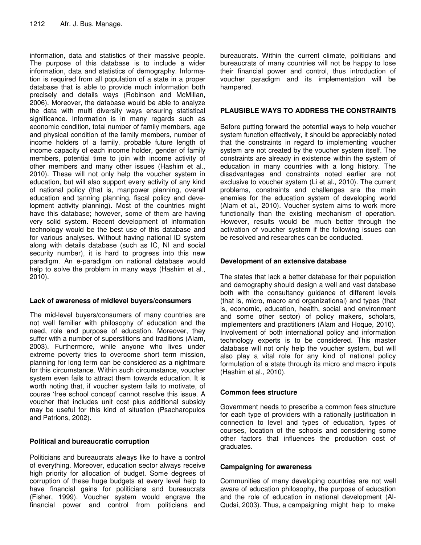information, data and statistics of their massive people. The purpose of this database is to include a wider information, data and statistics of demography. Information is required from all population of a state in a proper database that is able to provide much information both precisely and details ways (Robinson and McMillan, 2006). Moreover, the database would be able to analyze the data with multi diversify ways ensuring statistical significance. Information is in many regards such as economic condition, total number of family members, age and physical condition of the family members, number of income holders of a family, probable future length of income capacity of each income holder, gender of family members, potential time to join with income activity of other members and many other issues (Hashim et al., 2010). These will not only help the voucher system in education, but will also support every activity of any kind of national policy (that is, manpower planning, overall education and tanning planning, fiscal policy and development activity planning). Most of the countries might have this database; however, some of them are having very solid system. Recent development of information technology would be the best use of this database and for various analyses. Without having national ID system along with details database (such as IC, NI and social security number), it is hard to progress into this new paradigm. An e-paradigm on national database would help to solve the problem in many ways (Hashim et al., 2010).

#### **Lack of awareness of midlevel buyers/consumers**

The mid-level buyers/consumers of many countries are not well familiar with philosophy of education and the need, role and purpose of education. Moreover, they suffer with a number of superstitions and traditions (Alam, 2003). Furthermore, while anyone who lives under extreme poverty tries to overcome short term mission, planning for long term can be considered as a nightmare for this circumstance. Within such circumstance, voucher system even fails to attract them towards education. It is worth noting that, if voucher system fails to motivate, of course 'free school concept' cannot resolve this issue. A voucher that includes unit cost plus additional subsidy may be useful for this kind of situation (Psacharopulos and Patrions, 2002).

## **Political and bureaucratic corruption**

Politicians and bureaucrats always like to have a control of everything. Moreover, education sector always receive high priority for allocation of budget. Some degrees of corruption of these huge budgets at every level help to have financial gains for politicians and bureaucrats (Fisher, 1999). Voucher system would engrave the financial power and control from politicians and

bureaucrats. Within the current climate, politicians and bureaucrats of many countries will not be happy to lose their financial power and control, thus introduction of voucher paradigm and its implementation will be hampered.

## **PLAUSIBLE WAYS TO ADDRESS THE CONSTRAINTS**

Before putting forward the potential ways to help voucher system function effectively, it should be appreciably noted that the constraints in regard to implementing voucher system are not created by the voucher system itself. The constraints are already in existence within the system of education in many countries with a long history. The disadvantages and constraints noted earlier are not exclusive to voucher system (Li et al., 2010). The current problems, constraints and challenges are the main enemies for the education system of developing world (Alam et al., 2010). Voucher system aims to work more functionally than the existing mechanism of operation. However, results would be much better through the activation of voucher system if the following issues can be resolved and researches can be conducted.

## **Development of an extensive database**

The states that lack a better database for their population and demography should design a well and vast database both with the consultancy guidance of different levels (that is, micro, macro and organizational) and types (that is, economic, education, health, social and environment and some other sector) of policy makers, scholars, implementers and practitioners (Alam and Hoque, 2010). Involvement of both international policy and information technology experts is to be considered. This master database will not only help the voucher system, but will also play a vital role for any kind of national policy formulation of a state through its micro and macro inputs (Hashim et al., 2010).

#### **Common fees structure**

Government needs to prescribe a common fees structure for each type of providers with a rationally justification in connection to level and types of education, types of courses, location of the schools and considering some other factors that influences the production cost of graduates.

## **Campaigning for awareness**

Communities of many developing countries are not well aware of education philosophy, the purpose of education and the role of education in national development (Al-Qudsi, 2003). Thus, a campaigning might help to make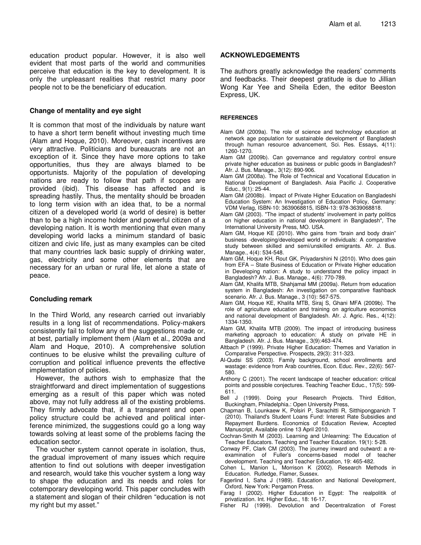education product popular. However, it is also well evident that most parts of the world and communities perceive that education is the key to development. It is only the unpleasant realities that restrict many poor people not to be the beneficiary of education.

#### **Change of mentality and eye sight**

It is common that most of the individuals by nature want to have a short term benefit without investing much time (Alam and Hoque, 2010). Moreover, cash incentives are very attractive. Politicians and bureaucrats are not an exception of it. Since they have more options to take opportunities, thus they are always blamed to be opportunists. Majority of the population of developing nations are ready to follow that path if scopes are provided (ibid). This disease has affected and is spreading hastily. Thus, the mentality should be broaden to long term vision with an idea that, to be a normal citizen of a developed world (a world of desire) is better than to be a high income holder and powerful citizen of a developing nation. It is worth mentioning that even many developing world lacks a minimum standard of basic citizen and civic life, just as many examples can be cited that many countries lack basic supply of drinking water, gas, electricity and some other elements that are necessary for an urban or rural life, let alone a state of peace.

#### **Concluding remark**

In the Third World, any research carried out invariably results in a long list of recommendations. Policy-makers consistently fail to follow any of the suggestions made or, at best, partially implement them (Alam et al., 2009a and Alam and Hoque, 2010). A comprehensive solution continues to be elusive whilst the prevailing culture of corruption and political influence prevents the effective implementation of policies.

However, the authors wish to emphasize that the straightforward and direct implementation of suggestions emerging as a result of this paper which was noted above, may not fully address all of the existing problems. They firmly advocate that, if a transparent and open policy structure could be achieved and political interference minimized, the suggestions could go a long way towards solving at least some of the problems facing the education sector.

The voucher system cannot operate in isolation, thus, the gradual improvement of many issues which require attention to find out solutions with deeper investigation and research, would take this voucher system a long way to shape the education and its needs and roles for cotemporary developing world. This paper concludes with a statement and slogan of their children "education is not my right but my asset."

#### **ACKNOWLEDGEMENTS**

The authors greatly acknowledge the readers' comments and feedbacks. Their deepest gratitude is due to Jillian Wong Kar Yee and Sheila Eden, the editor Beeston Express, UK.

#### **REFERENCES**

- Alam GM (2009a). The role of science and technology education at network age population for sustainable development of Bangladesh through human resource advancement, Sci. Res. Essays, 4(11): 1260-1270.
- Alam GM (2009b). Can governance and regulatory control ensure private higher education as business or public goods in Bangladesh? Afr. J. Bus. Manage., 3(12): 890-906.
- Alam GM (2008a). The Role of Technical and Vocational Education in National Development of Bangladesh. Asia Pacific J. Cooperative Educ., 9(1): 25-44.
- Alam GM (2008b). Impact of Private Higher Education on Bangladeshi Education System: An Investigation of Education Policy, Germany: VDM Verlag, ISBN-10: 3639068815, ISBN-13: 978-3639068818.
- Alam GM (2003). "The impact of students' involvement in party politics on higher education in national development in Bangladesh", The International University Press, MO. USA.
- Alam GM, Hoque KE (2010). Who gains from "brain and body drain" business -developing/developed world or individuals: A comparative study between skilled and semi/unskilled emigrants. Afr. J. Bus. Manage., 4(4): 534-548.
- Alam GM, Hoque KH, Rout GK, Priyadarshini N (2010). Who does gain from EFA – State Business of Education or Private Higher education in Developing nation: A study to understand the policy impact in Bangladesh? Afr. J. Bus. Manage., 4(6): 770-789.
- Alam GM, Khalifa MTB, Shahjamal MM (2009a). Return from education system in Bangladesh: An investigation on comparative flashback scenario. Afr. J. Bus. Manage., 3 (10): 567-575.
- Alam GM, Hoque KE, Khalifa MTB, Siraj S, Ghani MFA (2009b). The role of agriculture education and training on agriculture economics and national development of Bangladesh. Afr. J. Agric. Res., 4(12): 1334-1350.
- Alam GM, Khalifa MTB (2009). The impact of introducing business marketing approach to education: A study on private HE in Bangladesh. Afr. J. Bus. Manage., 3(9):463-474.
- Altbach P (1999). Private Higher Education: Themes and Variation in Comparative Perspective. Prospects, 29(3): 311-323.
- Al-Qudsi SS (2003). Family background, school enrollments and wastage: evidence from Arab countries, Econ. Educ. Rev., 22(6): 567- 580.
- Anthony C (2001). The recent landscape of teacher education: critical points and possible conjectures. Teaching Teacher Educ., 17(5): 599- 611.
- Bell J (1999). Doing your Research Projects. Third Edition, Buckingham, Philadelphia.: Open University Press,
- Chapman B, Lounkaew K, Polsiri P, Sarachitti R, Sitthipongpanich T (2010). Thailand's Student Loans Fund: Interest Rate Subsidies and Repayment Burdens. Economics of Education Review, Accepted Manuscript, Available online 13 April 2010.
- Cochran-Smith M (2003). Learning and Unlearning: The Education of Teacher Educators. Teaching and Teacher Education. 19(1): 5-28.
- Conway PF, Clark CM (2003). The journey inward and outward: a reexamination of Fuller's concerns-based model of teacher development. Teaching and Teacher Education, 19: 465-482.
- Cohen L, Manion L, Morrison K (2002). Research Methods in Education. Rutledge, Flamer, Sussex.
- Fagerlind I, Saha J (1989). Education and National Development, Oxford, New York: Pergamon Press.
- Farag I (2002). Higher Education in Egypt: The realpolitik of privatization. Int. Higher Educ., 18: 16-17.
- Fisher RJ (1999). Devolution and Decentralization of Forest